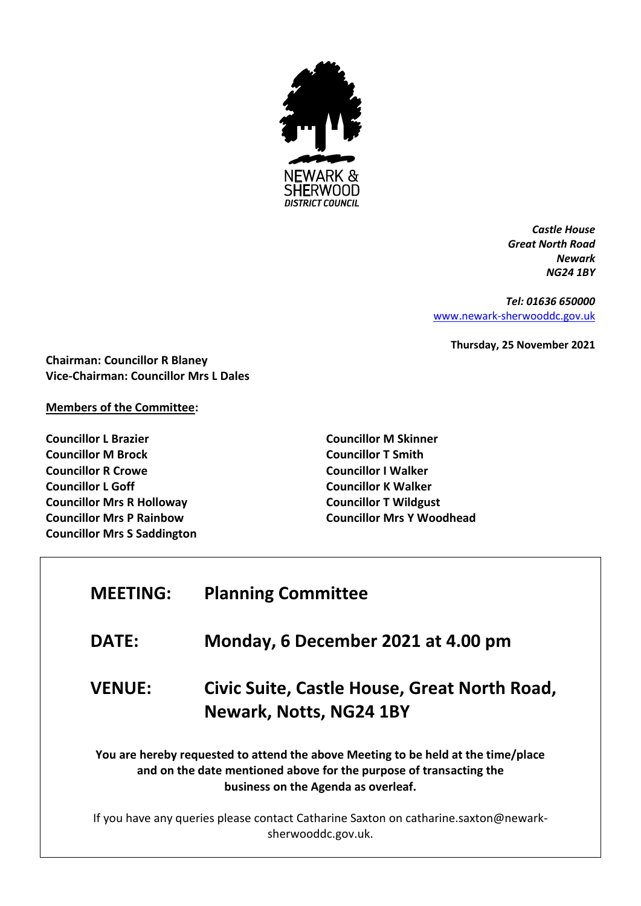

*Castle House Great North Road Newark NG24 1BY*

*Tel: 01636 650000* [www.newark-sherwooddc.gov.uk](http://www.newark-sherwooddc.gov.uk/)

**Thursday, 25 November 2021**

**Chairman: Councillor R Blaney Vice-Chairman: Councillor Mrs L Dales**

## **Members of the Committee:**

**Councillor L Brazier Councillor M Brock Councillor R Crowe Councillor L Goff Councillor Mrs R Holloway Councillor Mrs P Rainbow Councillor Mrs S Saddington** **Councillor M Skinner Councillor T Smith Councillor I Walker Councillor K Walker Councillor T Wildgust Councillor Mrs Y Woodhead**

| <b>MEETING:</b>                                                                                                                                                                                | <b>Planning Committee</b>                                                      |
|------------------------------------------------------------------------------------------------------------------------------------------------------------------------------------------------|--------------------------------------------------------------------------------|
| <b>DATE:</b>                                                                                                                                                                                   | Monday, 6 December 2021 at 4.00 pm                                             |
| <b>VENUE:</b>                                                                                                                                                                                  | Civic Suite, Castle House, Great North Road,<br><b>Newark, Notts, NG24 1BY</b> |
| You are hereby requested to attend the above Meeting to be held at the time/place<br>and on the date mentioned above for the purpose of transacting the<br>business on the Agenda as overleaf. |                                                                                |
| If you have any queries please contact Catharine Saxton on catharine.saxton@newark-<br>sherwooddc.gov.uk.                                                                                      |                                                                                |